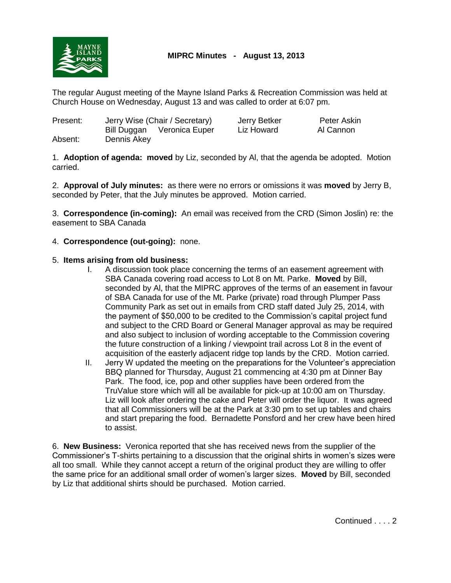

The regular August meeting of the Mayne Island Parks & Recreation Commission was held at Church House on Wednesday, August 13 and was called to order at 6:07 pm.

| Present: |             | Jerry Wise (Chair / Secretary) | Jerry Betker | Peter Askin |
|----------|-------------|--------------------------------|--------------|-------------|
|          | Bill Duggan | Veronica Euper                 | Liz Howard   | Al Cannon   |
| Absent:  | Dennis Akey |                                |              |             |

1. **Adoption of agenda: moved** by Liz, seconded by Al, that the agenda be adopted. Motion carried.

2. **Approval of July minutes:** as there were no errors or omissions it was **moved** by Jerry B, seconded by Peter, that the July minutes be approved. Motion carried.

3. **Correspondence (in-coming):** An email was received from the CRD (Simon Joslin) re: the easement to SBA Canada

## 4. **Correspondence (out-going):** none.

## 5. **Items arising from old business:**

- I. A discussion took place concerning the terms of an easement agreement with SBA Canada covering road access to Lot 8 on Mt. Parke. **Moved** by Bill, seconded by Al, that the MIPRC approves of the terms of an easement in favour of SBA Canada for use of the Mt. Parke (private) road through Plumper Pass Community Park as set out in emails from CRD staff dated July 25, 2014, with the payment of \$50,000 to be credited to the Commission's capital project fund and subject to the CRD Board or General Manager approval as may be required and also subject to inclusion of wording acceptable to the Commission covering the future construction of a linking / viewpoint trail across Lot 8 in the event of acquisition of the easterly adjacent ridge top lands by the CRD. Motion carried.
- II. Jerry W updated the meeting on the preparations for the Volunteer's appreciation BBQ planned for Thursday, August 21 commencing at 4:30 pm at Dinner Bay Park. The food, ice, pop and other supplies have been ordered from the TruValue store which will all be available for pick-up at 10:00 am on Thursday. Liz will look after ordering the cake and Peter will order the liquor. It was agreed that all Commissioners will be at the Park at 3:30 pm to set up tables and chairs and start preparing the food. Bernadette Ponsford and her crew have been hired to assist.

6. **New Business:** Veronica reported that she has received news from the supplier of the Commissioner's T-shirts pertaining to a discussion that the original shirts in women's sizes were all too small. While they cannot accept a return of the original product they are willing to offer the same price for an additional small order of women's larger sizes. **Moved** by Bill, seconded by Liz that additional shirts should be purchased. Motion carried.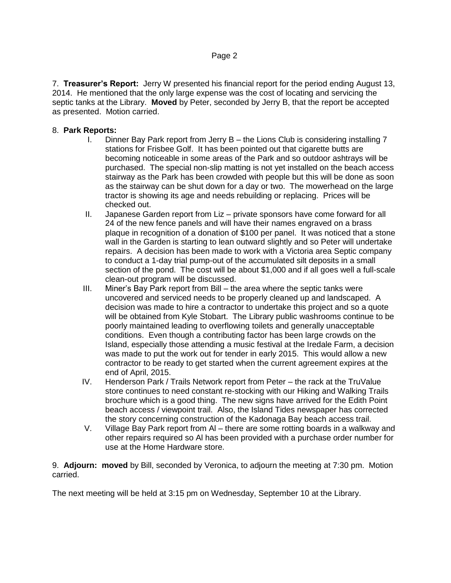7. **Treasurer's Report:** Jerry W presented his financial report for the period ending August 13, 2014. He mentioned that the only large expense was the cost of locating and servicing the septic tanks at the Library. **Moved** by Peter, seconded by Jerry B, that the report be accepted as presented. Motion carried.

## 8. **Park Reports:**

- I. Dinner Bay Park report from Jerry B the Lions Club is considering installing 7 stations for Frisbee Golf. It has been pointed out that cigarette butts are becoming noticeable in some areas of the Park and so outdoor ashtrays will be purchased. The special non-slip matting is not yet installed on the beach access stairway as the Park has been crowded with people but this will be done as soon as the stairway can be shut down for a day or two. The mowerhead on the large tractor is showing its age and needs rebuilding or replacing. Prices will be checked out.
- II. Japanese Garden report from Liz private sponsors have come forward for all 24 of the new fence panels and will have their names engraved on a brass plaque in recognition of a donation of \$100 per panel. It was noticed that a stone wall in the Garden is starting to lean outward slightly and so Peter will undertake repairs. A decision has been made to work with a Victoria area Septic company to conduct a 1-day trial pump-out of the accumulated silt deposits in a small section of the pond. The cost will be about \$1,000 and if all goes well a full-scale clean-out program will be discussed.
- III. Miner's Bay Park report from Bill the area where the septic tanks were uncovered and serviced needs to be properly cleaned up and landscaped. A decision was made to hire a contractor to undertake this project and so a quote will be obtained from Kyle Stobart. The Library public washrooms continue to be poorly maintained leading to overflowing toilets and generally unacceptable conditions. Even though a contributing factor has been large crowds on the Island, especially those attending a music festival at the Iredale Farm, a decision was made to put the work out for tender in early 2015. This would allow a new contractor to be ready to get started when the current agreement expires at the end of April, 2015.
- IV. Henderson Park / Trails Network report from Peter the rack at the TruValue store continues to need constant re-stocking with our Hiking and Walking Trails brochure which is a good thing. The new signs have arrived for the Edith Point beach access / viewpoint trail. Also, the Island Tides newspaper has corrected the story concerning construction of the Kadonaga Bay beach access trail.
- V. Village Bay Park report from Al there are some rotting boards in a walkway and other repairs required so Al has been provided with a purchase order number for use at the Home Hardware store.

9. **Adjourn: moved** by Bill, seconded by Veronica, to adjourn the meeting at 7:30 pm. Motion carried.

The next meeting will be held at 3:15 pm on Wednesday, September 10 at the Library.